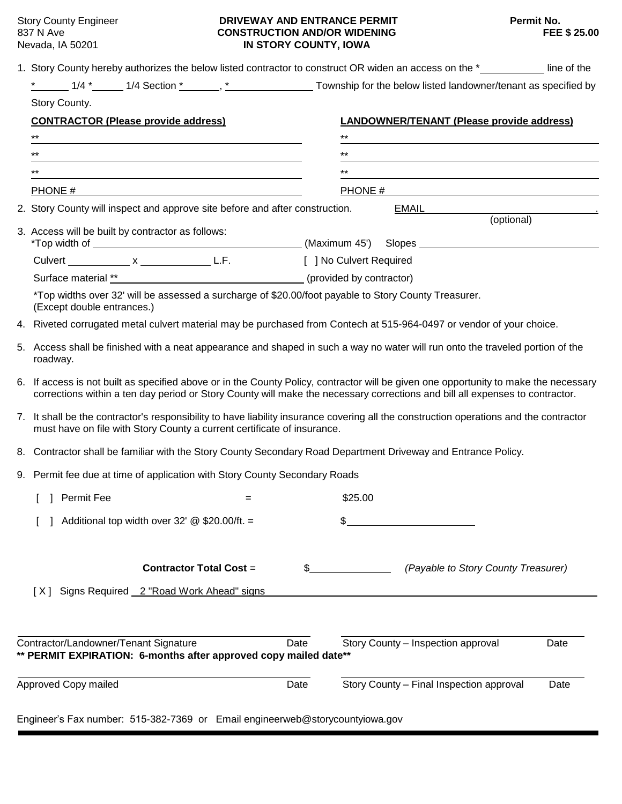### Story County Engineer **DRIVEWAY AND ENTRANCE PERMIT** Permit No. 837 N Ave **CONSTRUCTION AND/OR WIDENING**<br> **CONSTRUCTION AND/OR WIDENING**<br> **IN STORY COUNTY, IOWA IN STORY COUNTY, IOWA**

|                      |                                                                                                                                                                                                                                                                   | 1. Story County hereby authorizes the below listed contractor to construct OR widen an access on the *____________ line of the |  |
|----------------------|-------------------------------------------------------------------------------------------------------------------------------------------------------------------------------------------------------------------------------------------------------------------|--------------------------------------------------------------------------------------------------------------------------------|--|
|                      |                                                                                                                                                                                                                                                                   |                                                                                                                                |  |
|                      | Story County.                                                                                                                                                                                                                                                     |                                                                                                                                |  |
|                      | <b>CONTRACTOR (Please provide address)</b>                                                                                                                                                                                                                        | <b>LANDOWNER/TENANT (Please provide address)</b>                                                                               |  |
|                      | $^{\star\star}$                                                                                                                                                                                                                                                   | $***$                                                                                                                          |  |
|                      | $***$                                                                                                                                                                                                                                                             | $***$                                                                                                                          |  |
|                      | $***$                                                                                                                                                                                                                                                             | $***$                                                                                                                          |  |
|                      |                                                                                                                                                                                                                                                                   | PHONE $\frac{H}{H}$                                                                                                            |  |
|                      | 2. Story County will inspect and approve site before and after construction. EMAIL                                                                                                                                                                                |                                                                                                                                |  |
|                      | 3. Access will be built by contractor as follows:                                                                                                                                                                                                                 | (optional)                                                                                                                     |  |
|                      | Culvert _____________ x ____________________ L.F. [ ] No Culvert Required                                                                                                                                                                                         |                                                                                                                                |  |
|                      |                                                                                                                                                                                                                                                                   |                                                                                                                                |  |
|                      | *Top widths over 32' will be assessed a surcharge of \$20.00/foot payable to Story County Treasurer.<br>(Except double entrances.)                                                                                                                                |                                                                                                                                |  |
|                      | 4. Riveted corrugated metal culvert material may be purchased from Contech at 515-964-0497 or vendor of your choice.                                                                                                                                              |                                                                                                                                |  |
|                      | 5. Access shall be finished with a neat appearance and shaped in such a way no water will run onto the traveled portion of the<br>roadway.                                                                                                                        |                                                                                                                                |  |
| 6.                   | If access is not built as specified above or in the County Policy, contractor will be given one opportunity to make the necessary<br>corrections within a ten day period or Story County will make the necessary corrections and bill all expenses to contractor. |                                                                                                                                |  |
|                      | 7. It shall be the contractor's responsibility to have liability insurance covering all the construction operations and the contractor<br>must have on file with Story County a current certificate of insurance.                                                 |                                                                                                                                |  |
|                      | 8. Contractor shall be familiar with the Story County Secondary Road Department Driveway and Entrance Policy.                                                                                                                                                     |                                                                                                                                |  |
|                      | 9. Permit fee due at time of application with Story County Secondary Roads                                                                                                                                                                                        |                                                                                                                                |  |
|                      | <b>Permit Fee</b>                                                                                                                                                                                                                                                 | \$25.00                                                                                                                        |  |
|                      | Additional top width over 32' $@$ \$20.00/ft. =                                                                                                                                                                                                                   | \$                                                                                                                             |  |
|                      | <b>Contractor Total Cost =</b><br>[X] Signs Required 2 "Road Work Ahead" signs                                                                                                                                                                                    | (Payable to Story County Treasurer)<br>\$                                                                                      |  |
|                      |                                                                                                                                                                                                                                                                   |                                                                                                                                |  |
|                      | Contractor/Landowner/Tenant Signature<br>** PERMIT EXPIRATION: 6-months after approved copy mailed date**                                                                                                                                                         | Story County - Inspection approval<br>Date<br>Date                                                                             |  |
| Approved Copy mailed |                                                                                                                                                                                                                                                                   | Story County - Final Inspection approval<br>Date<br>Date                                                                       |  |
|                      | Engineer's Fax number: 515-382-7369 or Email engineerweb@storycountyiowa.gov                                                                                                                                                                                      |                                                                                                                                |  |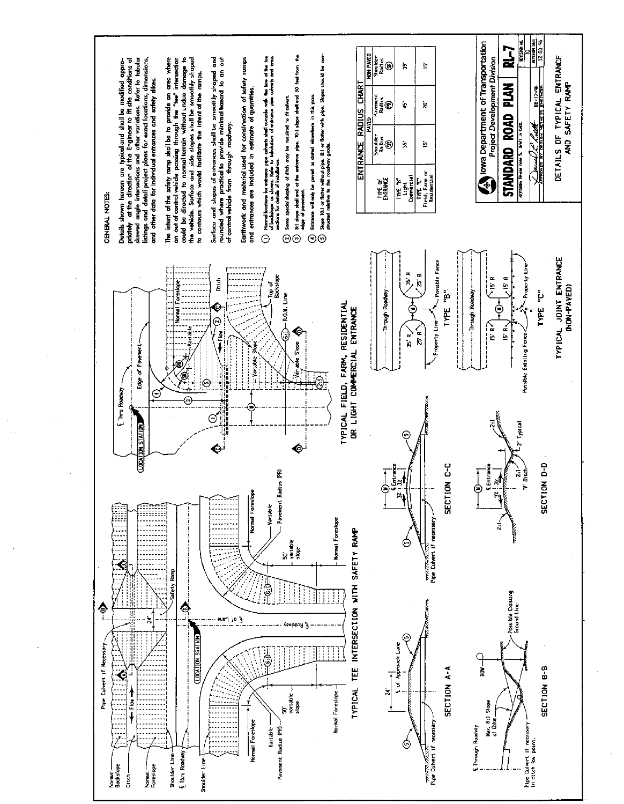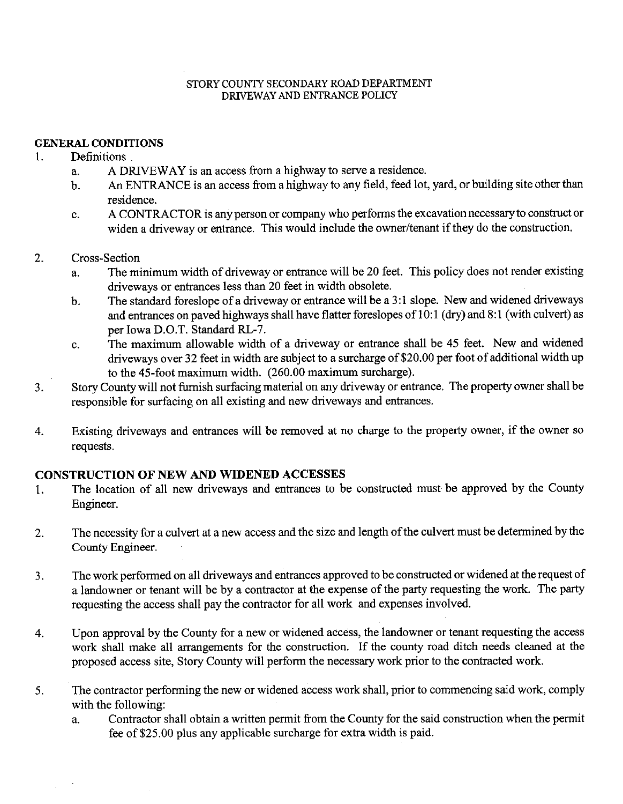### STORY COUNTY SECONDARY ROAD DEPARTMENT DRIVEWAY AND ENTRANCE POLICY

## **GENERAL CONDITIONS**

#### $1<sub>1</sub>$ Definitions

- A DRIVEWAY is an access from a highway to serve a residence.  $\mathbf{a}$ .
- An ENTRANCE is an access from a highway to any field, feed lot, yard, or building site other than  $h_{-}$ residence.
- A CONTRACTOR is any person or company who performs the excavation necessary to construct or  $\mathbf{c}$ . widen a driveway or entrance. This would include the owner/tenant if they do the construction.

#### $2.$ Cross-Section

- The minimum width of driveway or entrance will be 20 feet. This policy does not render existing  $\overline{a}$ . driveways or entrances less than 20 feet in width obsolete.
- The standard foreslope of a driveway or entrance will be a 3:1 slope. New and widened driveways  $\mathbf b$ . and entrances on paved highways shall have flatter foreslopes of 10:1 (dry) and 8:1 (with culvert) as per Iowa D.O.T. Standard RL-7.
- The maximum allowable width of a driveway or entrance shall be 45 feet. New and widened c. driveways over 32 feet in width are subject to a surcharge of \$20.00 per foot of additional width up to the 45-foot maximum width. (260.00 maximum surcharge).
- Story County will not furnish surfacing material on any driveway or entrance. The property owner shall be  $3<sub>1</sub>$ responsible for surfacing on all existing and new driveways and entrances.
- Existing driveways and entrances will be removed at no charge to the property owner, if the owner so  $\overline{4}$ . requests.

# **CONSTRUCTION OF NEW AND WIDENED ACCESSES**

- The location of all new driveways and entrances to be constructed must be approved by the County 1. Engineer.
- The necessity for a culvert at a new access and the size and length of the culvert must be determined by the 2. County Engineer.
- The work performed on all driveways and entrances approved to be constructed or widened at the request of  $3<sub>1</sub>$ a landowner or tenant will be by a contractor at the expense of the party requesting the work. The party requesting the access shall pay the contractor for all work and expenses involved.
- Upon approval by the County for a new or widened access, the landowner or tenant requesting the access  $\overline{4}$ . work shall make all arrangements for the construction. If the county road ditch needs cleaned at the proposed access site, Story County will perform the necessary work prior to the contracted work.
- The contractor performing the new or widened access work shall, prior to commencing said work, comply 5. with the following:
	- Contractor shall obtain a written permit from the County for the said construction when the permit  $\mathbf{a}$ . fee of \$25.00 plus any applicable surcharge for extra width is paid.